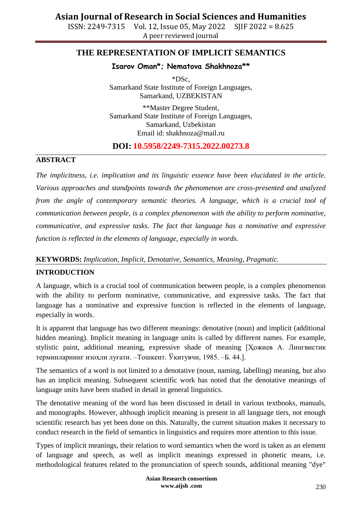# **Asian Journal of Research in Social Sciences and Humanities**

ISSN: 2249-7315 Vol. 12, Issue 05, May 2022 SJIF 2022 = 8.625 A peer reviewed journal

### **THE REPRESENTATION OF IMPLICIT SEMANTICS**

**Isarov Oman\*; Nematova Shakhnoza\*\***

 $*DSc$ Samarkand State Institute of Foreign Languages, Samarkand, UZBEKISTAN

\*\*Master Degree Student, Samarkand State Institute of Foreign Languages, Samarkand, Uzbekistan Email id: [shakhnoza@mail.ru](mailto:shakhnoza@mail.ru)

**DOI: 10.5958/2249-7315.2022.00273.8**

#### **ABSTRACT**

*The implicitness, i.e. implication and its linguistic essence have been elucidated in the article. Various approaches and standpoints towards the phenomenon are cross-presented and analyzed from the angle of contemporary semantic theories. A language, which is a crucial tool of communication between people, is a complex phenomenon with the ability to perform nominative, communicative, and expressive tasks. The fact that language has a nominative and expressive function is reflected in the elements of language, especially in words.*

#### **KEYWORDS:** *Implication, Implicit, Denotative, Semantics, Meaning, Pragmatic.*

#### **INTRODUCTION**

A language, which is a crucial tool of communication between people, is a complex phenomenon with the ability to perform nominative, communicative, and expressive tasks. The fact that language has a nominative and expressive function is reflected in the elements of language, especially in words.

It is apparent that language has two different meanings: denotative (noun) and implicit (additional hidden meaning). Implicit meaning in language units is called by different names. For example, stylistic paint, additional meaning, expressive shade of meaning [Ҳожиев А. Лингвистик терминларнинг изоҳли луғати. –Тошкент. Ўқитувчи, 1985. –Б. 44.].

The semantics of a word is not limited to a denotative (noun, naming, labelling) meaning, but also has an implicit meaning. Subsequent scientific work has noted that the denotative meanings of language units have been studied in detail in general linguistics.

The denotative meaning of the word has been discussed in detail in various textbooks, manuals, and monographs. However, although implicit meaning is present in all language tiers, not enough scientific research has yet been done on this. Naturally, the current situation makes it necessary to conduct research in the field of semantics in linguistics and requires more attention to this issue.

Types of implicit meanings, their relation to word semantics when the word is taken as an element of language and speech, as well as implicit meanings expressed in phonetic means, i.e. methodological features related to the pronunciation of speech sounds, additional meaning "dye"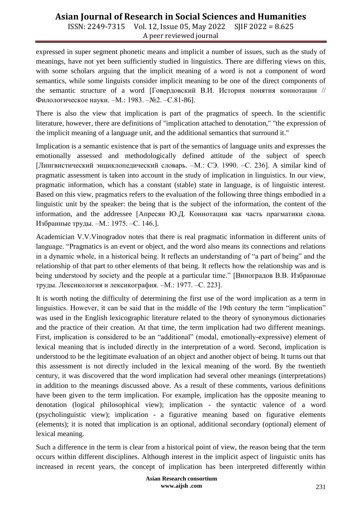## **Asian Journal of Research in Social Sciences and Humanities**

ISSN: 2249-7315 Vol. 12, Issue 05, May 2022 SJIF 2022 = 8.625 A peer reviewed journal

expressed in super segment phonetic means and implicit a number of issues, such as the study of meanings, have not yet been sufficiently studied in linguistics. There are differing views on this, with some scholars arguing that the implicit meaning of a word is not a component of word semantics, while some linguists consider implicit meaning to be one of the direct components of the semantic structure of a word  $\Gamma$ овердовский В.И. История понятия коннотации // Филологическое науки. –М.: 1983. –№2. –С.81-86].

There is also the view that implication is part of the pragmatics of speech. In the scientific literature, however, there are definitions of "implication attached to denotation," "the expression of the implicit meaning of a language unit, and the additional semantics that surround it."

Implication is a semantic existence that is part of the semantics of language units and expresses the emotionally assessed and methodologically defined attitude of the subject of speech [Лингвистический энциклопедический словарь. –М.: СЭ. 1990. –С. 236]. A similar kind of pragmatic assessment is taken into account in the study of implication in linguistics. In our view, pragmatic information, which has a constant (stable) state in language, is of linguistic interest. Based on this view, pragmatics refers to the evaluation of the following three things embodied in a linguistic unit by the speaker: the being that is the subject of the information, the content of the information, and the addressee [Апресян Ю.Д. Коннотации как часть прагматики слова. Избранные труды. –М.: 1975. –С. 146.].

Academician V.V.Vinogradov notes that there is real pragmatic information in different units of language. "Pragmatics is an event or object, and the word also means its connections and relations in a dynamic whole, in a historical being. It reflects an understanding of "a part of being" and the relationship of that part to other elements of that being. It reflects how the relationship was and is being understood by society and the people at a particular time." [Виноградов В.В. Избранные труды. Лексикология и лексикография. –М.: 1977. –С. 223].

It is worth noting the difficulty of determining the first use of the word implication as a term in linguistics. However, it can be said that in the middle of the 19th century the term "implication" was used in the English lexicographic literature related to the theory of synonymous dictionaries and the practice of their creation. At that time, the term implication had two different meanings. First, implication is considered to be an "additional" (modal, emotionally-expressive) element of lexical meaning that is included directly in the interpretation of a word. Second, implication is understood to be the legitimate evaluation of an object and another object of being. It turns out that this assessment is not directly included in the lexical meaning of the word. By the twentieth century, it was discovered that the word implication had several other meanings (interpretations) in addition to the meanings discussed above. As a result of these comments, various definitions have been given to the term implication. For example, implication has the opposite meaning to denotation (logical philosophical view); implication - the syntactic valence of a word (psycholinguistic view); implication - a figurative meaning based on figurative elements (elements); it is noted that implication is an optional, additional secondary (optional) element of lexical meaning.

Such a difference in the term is clear from a historical point of view, the reason being that the term occurs within different disciplines. Although interest in the implicit aspect of linguistic units has increased in recent years, the concept of implication has been interpreted differently within

> **Asian Research consortium www.aijsh .com**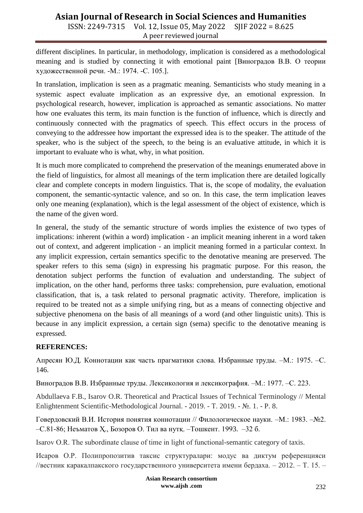# **Asian Journal of Research in Social Sciences and Humanities**

ISSN: 2249-7315 Vol. 12, Issue 05, May 2022 SJIF 2022 = 8.625 A peer reviewed journal

different disciplines. In particular, in methodology, implication is considered as a methodological meaning and is studied by connecting it with emotional paint [Виноградов В.В. О теории художественной речи. -М.: 1974. -С. 105.].

In translation, implication is seen as a pragmatic meaning. Semanticists who study meaning in a systemic aspect evaluate implication as an expressive dye, an emotional expression. In psychological research, however, implication is approached as semantic associations. No matter how one evaluates this term, its main function is the function of influence, which is directly and continuously connected with the pragmatics of speech. This effect occurs in the process of conveying to the addressee how important the expressed idea is to the speaker. The attitude of the speaker, who is the subject of the speech, to the being is an evaluative attitude, in which it is important to evaluate who is what, why, in what position.

It is much more complicated to comprehend the preservation of the meanings enumerated above in the field of linguistics, for almost all meanings of the term implication there are detailed logically clear and complete concepts in modern linguistics. That is, the scope of modality, the evaluation component, the semantic-syntactic valence, and so on. In this case, the term implication leaves only one meaning (explanation), which is the legal assessment of the object of existence, which is the name of the given word.

In general, the study of the semantic structure of words implies the existence of two types of implications: inherent (within a word) implication - an implicit meaning inherent in a word taken out of context, and adgerent implication - an implicit meaning formed in a particular context. In any implicit expression, certain semantics specific to the denotative meaning are preserved. The speaker refers to this sema (sign) in expressing his pragmatic purpose. For this reason, the denotation subject performs the function of evaluation and understanding. The subject of implication, on the other hand, performs three tasks: comprehension, pure evaluation, emotional classification, that is, a task related to personal pragmatic activity. Therefore, implication is required to be treated not as a simple unifying ring, but as a means of connecting objective and subjective phenomena on the basis of all meanings of a word (and other linguistic units). This is because in any implicit expression, a certain sign (sema) specific to the denotative meaning is expressed.

#### **REFERENCES:**

Апресян Ю.Д. Коннотации как часть прагматики слова. Избранные труды. –М.: 1975. –С. 146.

Виноградов В.В. Избранные труды. Лексикология и лексикография. –М.: 1977. –С. 223.

Abdullaeva F.B., Isarov O.R. Theoretical and Practical Issues of Technical Terminology // Mental Enlightenment Scientific-Methodological Journal. - 2019. - Т. 2019. - №. 1. - P. 8.

Говердовский В.И. История понятия коннотации // Филологическое науки. –М.: 1983. –№2. –С.81-86; Неъматов Ҳ., Бозоров О. Тил ва нутқ. –Тошкент. 1993. –32 б.

Isarov О.R. The subordinate clause of time in light of functional-semantic category of taxis.

Исаров О.Р. Полипропозитив таксис структуралари: модус ва диктум референцияси //вестник каракалпакского государственного университета имени бердаха. – 2012. – Т. 15. –